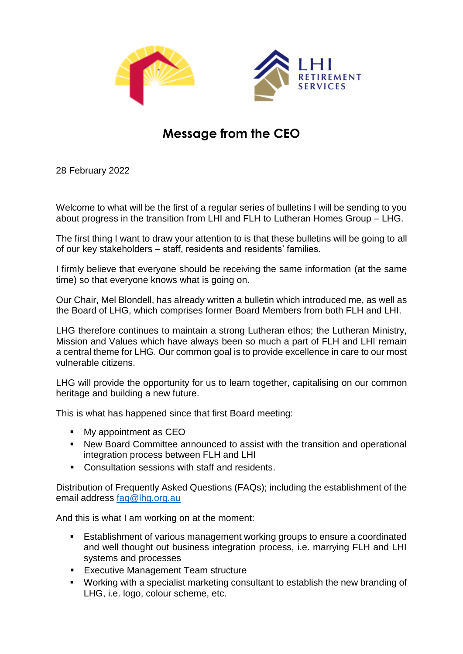



## **Message from the CEO**

28 February 2022

Welcome to what will be the first of a regular series of bulletins I will be sending to you about progress in the transition from LHI and FLH to Lutheran Homes Group – LHG.

The first thing I want to draw your attention to is that these bulletins will be going to all of our key stakeholders – staff, residents and residents' families.

I firmly believe that everyone should be receiving the same information (at the same time) so that everyone knows what is going on.

Our Chair, Mel Blondell, has already written a bulletin which introduced me, as well as the Board of LHG, which comprises former Board Members from both FLH and LHI.

LHG therefore continues to maintain a strong Lutheran ethos; the Lutheran Ministry, Mission and Values which have always been so much a part of FLH and LHI remain a central theme for LHG. Our common goal is to provide excellence in care to our most vulnerable citizens.

LHG will provide the opportunity for us to learn together, capitalising on our common heritage and building a new future.

This is what has happened since that first Board meeting:

- **Ny appointment as CEO**
- New Board Committee announced to assist with the transition and operational integration process between FLH and LHI
- Consultation sessions with staff and residents.

Distribution of Frequently Asked Questions (FAQs); including the establishment of the email address [faq@lhg.org.au](mailto:faq@lhg.org.au)

And this is what I am working on at the moment:

- **Establishment of various management working groups to ensure a coordinated** and well thought out business integration process, i.e. marrying FLH and LHI systems and processes
- **Executive Management Team structure**
- Working with a specialist marketing consultant to establish the new branding of LHG, i.e. logo, colour scheme, etc.